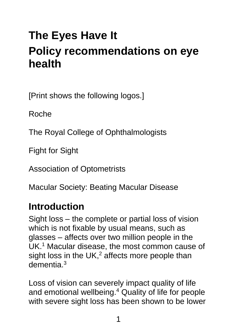# **The Eyes Have It Policy recommendations on eye health**

[Print shows the following logos.]

Roche

The Royal College of Ophthalmologists

Fight for Sight

Association of Optometrists

Macular Society: Beating Macular Disease

## **Introduction**

Sight loss – the complete or partial loss of vision which is not fixable by usual means, such as glasses – affects over two million people in the UK.<sup>1</sup> Macular disease, the most common cause of sight loss in the  $UK<sub>1</sub><sup>2</sup>$  affects more people than dementia $3$ 

Loss of vision can severely impact quality of life and emotional wellbeing.<sup>4</sup> Quality of life for people with severe sight loss has been shown to be lower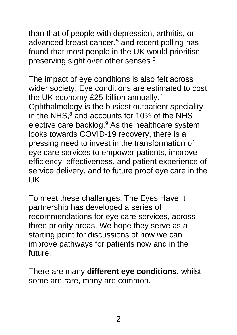than that of people with depression, arthritis, or advanced breast cancer,<sup>5</sup> and recent polling has found that most people in the UK would prioritise preserving sight over other senses.<sup>6</sup>

The impact of eye conditions is also felt across wider society. Eye conditions are estimated to cost the UK economy £25 billion annually.<sup>7</sup> Ophthalmology is the busiest outpatient speciality in the NHS, $8$  and accounts for 10% of the NHS elective care backlog.<sup>9</sup> As the healthcare system looks towards COVID-19 recovery, there is a pressing need to invest in the transformation of eye care services to empower patients, improve efficiency, effectiveness, and patient experience of service delivery, and to future proof eye care in the UK.

To meet these challenges, The Eyes Have It partnership has developed a series of recommendations for eye care services, across three priority areas. We hope they serve as a starting point for discussions of how we can improve pathways for patients now and in the future.

There are many **different eye conditions,** whilst some are rare, many are common.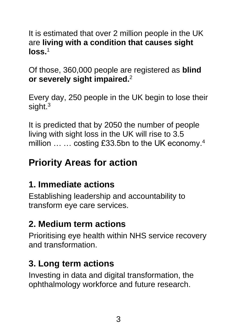#### It is estimated that over 2 million people in the UK are **living with a condition that causes sight**   $\log s$ <sup>1</sup>

Of those, 360,000 people are registered as **blind or severely sight impaired.**<sup>2</sup>

Every day, 250 people in the UK begin to lose their sight<sup>3</sup>

It is predicted that by 2050 the number of people living with sight loss in the UK will rise to 3.5 million ... ... costing £33.5bn to the UK economy.<sup>4</sup>

## **Priority Areas for action**

## **1. Immediate actions**

Establishing leadership and accountability to transform eye care services.

## **2. Medium term actions**

Prioritising eye health within NHS service recovery and transformation.

## **3. Long term actions**

Investing in data and digital transformation, the ophthalmology workforce and future research.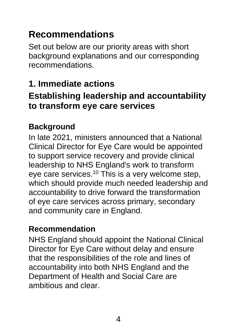## **Recommendations**

Set out below are our priority areas with short background explanations and our corresponding recommendations.

## **1. Immediate actions**

### **Establishing leadership and accountability to transform eye care services**

#### **Background**

In late 2021, ministers announced that a National Clinical Director for Eye Care would be appointed to support service recovery and provide clinical leadership to NHS England's work to transform eye care services.<sup>10</sup> This is a very welcome step, which should provide much needed leadership and accountability to drive forward the transformation of eye care services across primary, secondary and community care in England.

#### **Recommendation**

NHS England should appoint the National Clinical Director for Eye Care without delay and ensure that the responsibilities of the role and lines of accountability into both NHS England and the Department of Health and Social Care are ambitious and clear.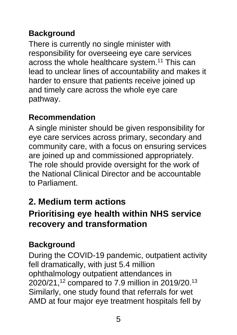## **Background**

There is currently no single minister with responsibility for overseeing eye care services across the whole healthcare system.<sup>11</sup> This can lead to unclear lines of accountability and makes it harder to ensure that patients receive joined up and timely care across the whole eye care pathway.

#### **Recommendation**

A single minister should be given responsibility for eye care services across primary, secondary and community care, with a focus on ensuring services are joined up and commissioned appropriately. The role should provide oversight for the work of the National Clinical Director and be accountable to Parliament.

## **2. Medium term actions**

## **Prioritising eye health within NHS service recovery and transformation**

### **Background**

During the COVID-19 pandemic, outpatient activity fell dramatically, with just 5.4 million ophthalmology outpatient attendances in 2020/21,<sup>12</sup> compared to 7.9 million in 2019/20.<sup>13</sup> Similarly, one study found that referrals for wet AMD at four major eye treatment hospitals fell by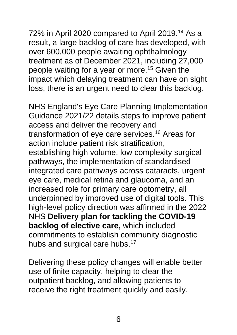72% in April 2020 compared to April 2019.<sup>14</sup> As a result, a large backlog of care has developed, with over 600,000 people awaiting ophthalmology treatment as of December 2021, including 27,000 people waiting for a year or more.<sup>15</sup> Given the impact which delaying treatment can have on sight loss, there is an urgent need to clear this backlog.

NHS England's Eye Care Planning Implementation Guidance 2021/22 details steps to improve patient access and deliver the recovery and transformation of eye care services.<sup>16</sup> Areas for action include patient risk stratification, establishing high volume, low complexity surgical pathways, the implementation of standardised integrated care pathways across cataracts, urgent eye care, medical retina and glaucoma, and an increased role for primary care optometry, all underpinned by improved use of digital tools. This high-level policy direction was affirmed in the 2022 NHS **Delivery plan for tackling the COVID-19 backlog of elective care,** which included commitments to establish community diagnostic hubs and surgical care hubs.<sup>17</sup>

Delivering these policy changes will enable better use of finite capacity, helping to clear the outpatient backlog, and allowing patients to receive the right treatment quickly and easily.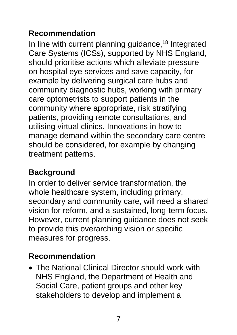### **Recommendation**

In line with current planning guidance,<sup>18</sup> Integrated Care Systems (ICSs), supported by NHS England, should prioritise actions which alleviate pressure on hospital eye services and save capacity, for example by delivering surgical care hubs and community diagnostic hubs, working with primary care optometrists to support patients in the community where appropriate, risk stratifying patients, providing remote consultations, and utilising virtual clinics. Innovations in how to manage demand within the secondary care centre should be considered, for example by changing treatment patterns.

## **Background**

In order to deliver service transformation, the whole healthcare system, including primary, secondary and community care, will need a shared vision for reform, and a sustained, long-term focus. However, current planning guidance does not seek to provide this overarching vision or specific measures for progress.

### **Recommendation**

• The National Clinical Director should work with NHS England, the Department of Health and Social Care, patient groups and other key stakeholders to develop and implement a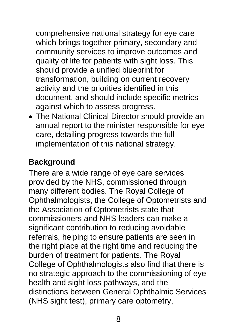comprehensive national strategy for eye care which brings together primary, secondary and community services to improve outcomes and quality of life for patients with sight loss. This should provide a unified blueprint for transformation, building on current recovery activity and the priorities identified in this document, and should include specific metrics against which to assess progress.

• The National Clinical Director should provide an annual report to the minister responsible for eye care, detailing progress towards the full implementation of this national strategy.

#### **Background**

There are a wide range of eye care services provided by the NHS, commissioned through many different bodies. The Royal College of Ophthalmologists, the College of Optometrists and the Association of Optometrists state that commissioners and NHS leaders can make a significant contribution to reducing avoidable referrals, helping to ensure patients are seen in the right place at the right time and reducing the burden of treatment for patients. The Royal College of Ophthalmologists also find that there is no strategic approach to the commissioning of eye health and sight loss pathways, and the distinctions between General Ophthalmic Services (NHS sight test), primary care optometry,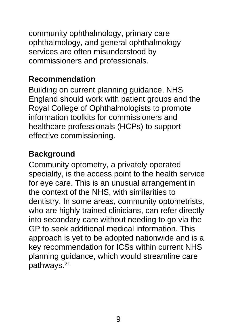community ophthalmology, primary care ophthalmology, and general ophthalmology services are often misunderstood by commissioners and professionals.

#### **Recommendation**

Building on current planning guidance, NHS England should work with patient groups and the Royal College of Ophthalmologists to promote information toolkits for commissioners and healthcare professionals (HCPs) to support effective commissioning.

#### **Background**

Community optometry, a privately operated speciality, is the access point to the health service for eye care. This is an unusual arrangement in the context of the NHS, with similarities to dentistry. In some areas, community optometrists, who are highly trained clinicians, can refer directly into secondary care without needing to go via the GP to seek additional medical information. This approach is yet to be adopted nationwide and is a key recommendation for ICSs within current NHS planning guidance, which would streamline care pathways.21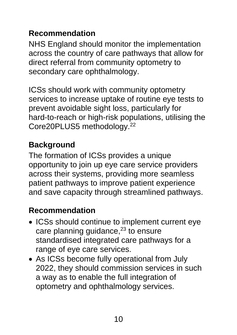#### **Recommendation**

NHS England should monitor the implementation across the country of care pathways that allow for direct referral from community optometry to secondary care ophthalmology.

ICSs should work with community optometry services to increase uptake of routine eye tests to prevent avoidable sight loss, particularly for hard-to-reach or high-risk populations, utilising the Core20PLUS5 methodology.<sup>22</sup>

## **Background**

The formation of ICSs provides a unique opportunity to join up eye care service providers across their systems, providing more seamless patient pathways to improve patient experience and save capacity through streamlined pathways.

## **Recommendation**

- ICSs should continue to implement current eye care planning guidance, $23$  to ensure standardised integrated care pathways for a range of eye care services.
- As ICSs become fully operational from July 2022, they should commission services in such a way as to enable the full integration of optometry and ophthalmology services.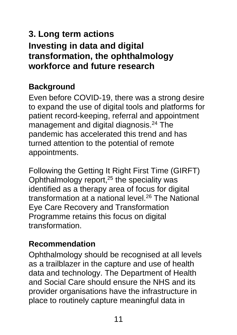## **3. Long term actions Investing in data and digital transformation, the ophthalmology workforce and future research**

### **Background**

Even before COVID-19, there was a strong desire to expand the use of digital tools and platforms for patient record-keeping, referral and appointment management and digital diagnosis.<sup>24</sup> The pandemic has accelerated this trend and has turned attention to the potential of remote appointments.

Following the Getting It Right First Time (GIRFT) Ophthalmology report, $25$  the speciality was identified as a therapy area of focus for digital transformation at a national level.<sup>26</sup> The National Eye Care Recovery and Transformation Programme retains this focus on digital transformation.

#### **Recommendation**

Ophthalmology should be recognised at all levels as a trailblazer in the capture and use of health data and technology. The Department of Health and Social Care should ensure the NHS and its provider organisations have the infrastructure in place to routinely capture meaningful data in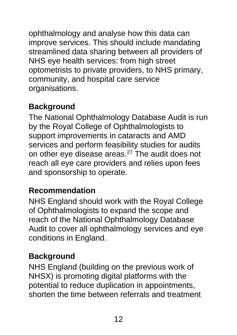ophthalmology and analyse how this data can improve services. This should include mandating streamlined data sharing between all providers of NHS eye health services: from high street optometrists to private providers, to NHS primary, community, and hospital care service organisations.

## **Background**

The National Ophthalmology Database Audit is run by the Royal College of Ophthalmologists to support improvements in cataracts and AMD services and perform feasibility studies for audits on other eye disease areas.<sup>27</sup> The audit does not reach all eye care providers and relies upon fees and sponsorship to operate.

#### **Recommendation**

NHS England should work with the Royal College of Ophthalmologists to expand the scope and reach of the National Ophthalmology Database Audit to cover all ophthalmology services and eye conditions in England.

#### **Background**

NHS England (building on the previous work of NHSX) is promoting digital platforms with the potential to reduce duplication in appointments, shorten the time between referrals and treatment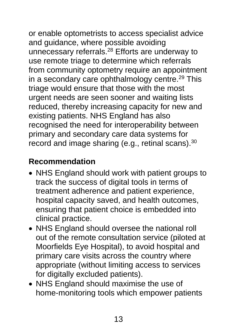or enable optometrists to access specialist advice and guidance, where possible avoiding unnecessary referrals.<sup>28</sup> Efforts are underway to use remote triage to determine which referrals from community optometry require an appointment in a secondary care ophthalmology centre.<sup>29</sup> This triage would ensure that those with the most urgent needs are seen sooner and waiting lists reduced, thereby increasing capacity for new and existing patients. NHS England has also recognised the need for interoperability between primary and secondary care data systems for record and image sharing (e.g., retinal scans).<sup>30</sup>

## **Recommendation**

- NHS England should work with patient groups to track the success of digital tools in terms of treatment adherence and patient experience, hospital capacity saved, and health outcomes, ensuring that patient choice is embedded into clinical practice.
- NHS England should oversee the national roll out of the remote consultation service (piloted at Moorfields Eye Hospital), to avoid hospital and primary care visits across the country where appropriate (without limiting access to services for digitally excluded patients).
- NHS England should maximise the use of home-monitoring tools which empower patients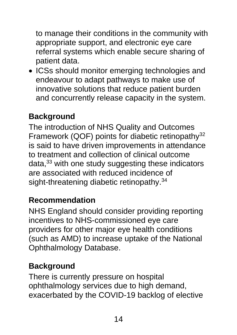to manage their conditions in the community with appropriate support, and electronic eye care referral systems which enable secure sharing of patient data.

• ICSs should monitor emerging technologies and endeavour to adapt pathways to make use of innovative solutions that reduce patient burden and concurrently release capacity in the system.

### **Background**

The introduction of NHS Quality and Outcomes Framework (QOF) points for diabetic retinopathy<sup>32</sup> is said to have driven improvements in attendance to treatment and collection of clinical outcome data,<sup>33</sup> with one study suggesting these indicators are associated with reduced incidence of sight-threatening diabetic retinopathy.<sup>34</sup>

#### **Recommendation**

NHS England should consider providing reporting incentives to NHS-commissioned eye care providers for other major eye health conditions (such as AMD) to increase uptake of the National Ophthalmology Database.

### **Background**

There is currently pressure on hospital ophthalmology services due to high demand, exacerbated by the COVID-19 backlog of elective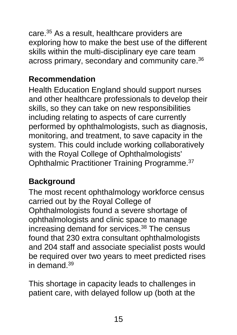care.<sup>35</sup> As a result, healthcare providers are exploring how to make the best use of the different skills within the multi-disciplinary eye care team across primary, secondary and community care.<sup>36</sup>

#### **Recommendation**

Health Education England should support nurses and other healthcare professionals to develop their skills, so they can take on new responsibilities including relating to aspects of care currently performed by ophthalmologists, such as diagnosis, monitoring, and treatment, to save capacity in the system. This could include working collaboratively with the Royal College of Ophthalmologists' Ophthalmic Practitioner Training Programme.<sup>37</sup>

### **Background**

The most recent ophthalmology workforce census carried out by the Royal College of Ophthalmologists found a severe shortage of ophthalmologists and clinic space to manage increasing demand for services.<sup>38</sup> The census found that 230 extra consultant ophthalmologists and 204 staff and associate specialist posts would be required over two years to meet predicted rises in demand.<sup>39</sup>

This shortage in capacity leads to challenges in patient care, with delayed follow up (both at the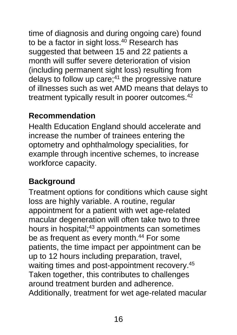time of diagnosis and during ongoing care) found to be a factor in sight loss.<sup>40</sup> Research has suggested that between 15 and 22 patients a month will suffer severe deterioration of vision (including permanent sight loss) resulting from delays to follow up care; $41$  the progressive nature of illnesses such as wet AMD means that delays to treatment typically result in poorer outcomes.<sup>42</sup>

#### **Recommendation**

Health Education England should accelerate and increase the number of trainees entering the optometry and ophthalmology specialities, for example through incentive schemes, to increase workforce capacity.

#### **Background**

Treatment options for conditions which cause sight loss are highly variable. A routine, regular appointment for a patient with wet age-related macular degeneration will often take two to three hours in hospital;<sup>43</sup> appointments can sometimes be as frequent as every month.<sup>44</sup> For some patients, the time impact per appointment can be up to 12 hours including preparation, travel, waiting times and post-appointment recovery.<sup>45</sup> Taken together, this contributes to challenges around treatment burden and adherence. Additionally, treatment for wet age-related macular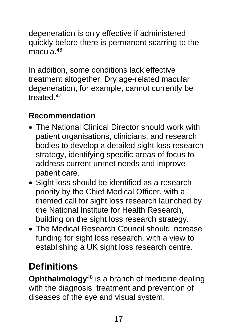degeneration is only effective if administered quickly before there is permanent scarring to the macula.<sup>46</sup>

In addition, some conditions lack effective treatment altogether. Dry age-related macular degeneration, for example, cannot currently be treated.<sup>47</sup>

#### **Recommendation**

- The National Clinical Director should work with patient organisations, clinicians, and research bodies to develop a detailed sight loss research strategy, identifying specific areas of focus to address current unmet needs and improve patient care.
- Sight loss should be identified as a research priority by the Chief Medical Officer, with a themed call for sight loss research launched by the National Institute for Health Research, building on the sight loss research strategy.
- The Medical Research Council should increase funding for sight loss research, with a view to establishing a UK sight loss research centre.

## **Definitions**

**Ophthalmology**<sup>48</sup> is a branch of medicine dealing with the diagnosis, treatment and prevention of diseases of the eye and visual system.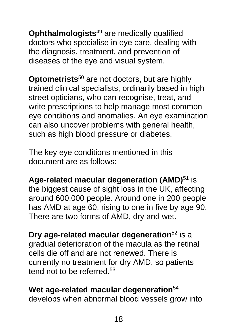**Ophthalmologists**<sup>49</sup> are medically qualified doctors who specialise in eye care, dealing with the diagnosis, treatment, and prevention of diseases of the eye and visual system.

**Optometrists**<sup>50</sup> are not doctors, but are highly trained clinical specialists, ordinarily based in high street opticians, who can recognise, treat, and write prescriptions to help manage most common eye conditions and anomalies. An eye examination can also uncover problems with general health, such as high blood pressure or diabetes.

The key eye conditions mentioned in this document are as follows:

**Age-related macular degeneration (AMD)**<sup>51</sup> is the biggest cause of sight loss in the UK, affecting around 600,000 people. Around one in 200 people has AMD at age 60, rising to one in five by age 90. There are two forms of AMD, dry and wet.

**Dry age-related macular degeneration**<sup>52</sup> is a gradual deterioration of the macula as the retinal cells die off and are not renewed. There is currently no treatment for dry AMD, so patients tend not to be referred.<sup>53</sup>

**Wet age-related macular degeneration**<sup>54</sup> develops when abnormal blood vessels grow into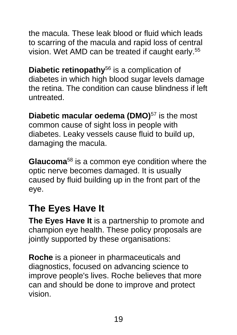the macula. These leak blood or fluid which leads to scarring of the macula and rapid loss of central vision. Wet AMD can be treated if caught early.<sup>55</sup>

**Diabetic retinopathy**<sup>56</sup> is a complication of diabetes in which high blood sugar levels damage the retina. The condition can cause blindness if left untreated.

**Diabetic macular oedema (DMO)**<sup>57</sup> is the most common cause of sight loss in people with diabetes. Leaky vessels cause fluid to build up, damaging the macula.

**Glaucoma**<sup>58</sup> is a common eye condition where the optic nerve becomes damaged. It is usually caused by fluid building up in the front part of the eye.

## **The Eyes Have It**

**The Eyes Have It** is a partnership to promote and champion eye health. These policy proposals are jointly supported by these organisations:

**Roche** is a pioneer in pharmaceuticals and diagnostics, focused on advancing science to improve people's lives. Roche believes that more can and should be done to improve and protect vision.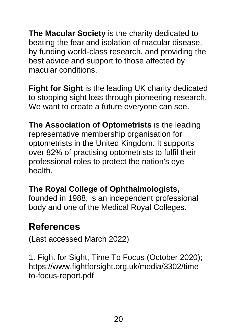**The Macular Society** is the charity dedicated to beating the fear and isolation of macular disease, by funding world-class research, and providing the best advice and support to those affected by macular conditions.

**Fight for Sight** is the leading UK charity dedicated to stopping sight loss through pioneering research. We want to create a future everyone can see.

**The Association of Optometrists** is the leading representative membership organisation for optometrists in the United Kingdom. It supports over 82% of practising optometrists to fulfil their professional roles to protect the nation's eye health.

#### **The Royal College of Ophthalmologists,**

founded in 1988, is an independent professional body and one of the Medical Royal Colleges.

### **References**

(Last accessed March 2022)

1. Fight for Sight, Time To Focus (October 2020); [https://www.fightforsight.org.uk/media/3302/time](https://www.fightforsight.org.uk/media/3302/time-%0bto-focus-report.pdf)[to-focus-report.pdf](https://www.fightforsight.org.uk/media/3302/time-%0bto-focus-report.pdf)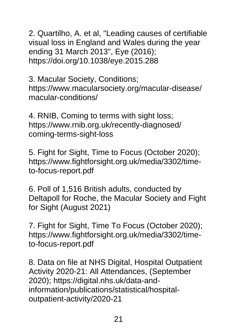2. Quartilho, A. et al, "Leading causes of certifiable visual loss in England and Wales during the year ending 31 March 2013", Eye (2016); [https://doi.org/10.1038/eye.2015.288](http://https/doi.org/10.1038/eye.2015.288)

3. Macular Society, Conditions; [https://www.macularsociety.org/macular-disease/](https://www.macularsociety.org/macular-disease/%0bmacular-conditions/) [macular-conditions/](https://www.macularsociety.org/macular-disease/%0bmacular-conditions/)

4. RNIB, Coming to terms with sight loss; [https://www.rnib.org.uk/recently-diagnosed/](https://www.rnib.org.uk/recently-diagnosed/%0bcoming-terms-sight-loss) [coming-terms-sight-loss](https://www.rnib.org.uk/recently-diagnosed/%0bcoming-terms-sight-loss)

5. Fight for Sight, Time to Focus (October 2020); [https://www.fightforsight.org.uk/media/3302/time](https://www.fightforsight.org.uk/media/3302/time-%0bto-focus-report.pdf)[to-focus-report.pdf](https://www.fightforsight.org.uk/media/3302/time-%0bto-focus-report.pdf)

6. Poll of 1,516 British adults, conducted by Deltapoll for Roche, the Macular Society and Fight for Sight (August 2021)

7. Fight for Sight, Time To Focus (October 2020); [https://www.fightforsight.org.uk/media/3302/time](https://www.fightforsight.org.uk/media/3302/time-%0bto-focus-report.pdf)[to-focus-report.pdf](https://www.fightforsight.org.uk/media/3302/time-%0bto-focus-report.pdf)

8. Data on file at NHS Digital, Hospital Outpatient Activity 2020-21: All Attendances, (September 2020); [https://digital.nhs.uk/data-and](https://digital.nhs.uk/data-and-%0binformation/publications/statistical/hospital-%0boutpatient-activity/2020-21)[information/publications/statistical/hospital](https://digital.nhs.uk/data-and-%0binformation/publications/statistical/hospital-%0boutpatient-activity/2020-21)[outpatient-activity/2020-21](https://digital.nhs.uk/data-and-%0binformation/publications/statistical/hospital-%0boutpatient-activity/2020-21)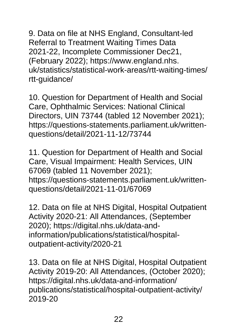9. Data on file at NHS England, Consultant-led Referral to Treatment Waiting Times Data 2021-22, Incomplete Commissioner Dec21, (February 2022); https://www.england.nhs. uk/statistics/statistical-work-areas/rtt-waiting-times/ rtt-guidance/

10. Question for Department of Health and Social Care, Ophthalmic Services: National Clinical Directors, UIN 73744 (tabled 12 November 2021); [https://questions-statements.parliament.uk/written](http://https/questions-statements.parliament.uk/written-questions/detail/2021-11-12/73744)[questions/detail/2021-11-12/73744](http://https/questions-statements.parliament.uk/written-questions/detail/2021-11-12/73744)

11. Question for Department of Health and Social Care, Visual Impairment: Health Services, UIN 67069 (tabled 11 November 2021); [https://questions-statements.parliament.uk/written](http://https/questions-statements.parliament.uk/written-questions/detail/2021-11-01/67069)[questions/detail/2021-11-01/67069](http://https/questions-statements.parliament.uk/written-questions/detail/2021-11-01/67069)

12. Data on file at NHS Digital, Hospital Outpatient Activity 2020-21: All Attendances, (September 2020); [https://digital.nhs.uk/data-and](https://digital.nhs.uk/data-and-%0binformation/publications/statistical/hospital-%0boutpatient-activity/2020-21)[information/publications/statistical/hospital](https://digital.nhs.uk/data-and-%0binformation/publications/statistical/hospital-%0boutpatient-activity/2020-21)[outpatient-activity/2020-21](https://digital.nhs.uk/data-and-%0binformation/publications/statistical/hospital-%0boutpatient-activity/2020-21)

13. Data on file at NHS Digital, Hospital Outpatient Activity 2019-20: All Attendances, (October 2020); [https://digital.nhs.uk/data-and-information/](https://digital.nhs.uk/data-and-information/%0bpublications/statistical/hospital-outpatient-activity/%0b2019-20) [publications/statistical/hospital-outpatient-activity/](https://digital.nhs.uk/data-and-information/%0bpublications/statistical/hospital-outpatient-activity/%0b2019-20) [2019-20](https://digital.nhs.uk/data-and-information/%0bpublications/statistical/hospital-outpatient-activity/%0b2019-20)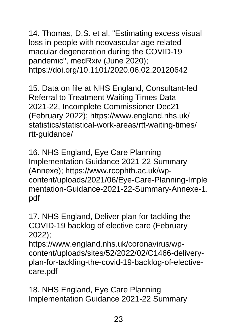14. Thomas, D.S. et al, "Estimating excess visual loss in people with neovascular age-related macular degeneration during the COVID-19 pandemic", medRxiv (June 2020); [https://doi.org/10.1101/2020.06.02.20120642](http://https/doi.org/10.1101/2020.06.02.20120642)

15. Data on file at NHS England, Consultant-led Referral to Treatment Waiting Times Data 2021-22, Incomplete Commissioner Dec21 (February 2022); [https://www.england.nhs.uk/](https://www.england.nhs.uk/%0bstatistics/statistical-work-areas/rtt-waiting-times/%0brtt-guidance/) [statistics/statistical-work-areas/rtt-waiting-times/](https://www.england.nhs.uk/%0bstatistics/statistical-work-areas/rtt-waiting-times/%0brtt-guidance/) [rtt-guidance/](https://www.england.nhs.uk/%0bstatistics/statistical-work-areas/rtt-waiting-times/%0brtt-guidance/)

16. NHS England, Eye Care Planning Implementation Guidance 2021-22 Summary (Annexe); [https://www.rcophth.ac.uk/wp](https://www.rcophth.ac.uk/wp-%0bcontent/uploads/2021/06/Eye-Care-Planning-Implementation-Guidance-2021-22-Summary-Annexe-1.pdf)[content/uploads/2021/06/Eye-Care-Planning-Imple](https://www.rcophth.ac.uk/wp-%0bcontent/uploads/2021/06/Eye-Care-Planning-Implementation-Guidance-2021-22-Summary-Annexe-1.pdf) [mentation-Guidance-2021-22-Summary-Annexe-1.](https://www.rcophth.ac.uk/wp-%0bcontent/uploads/2021/06/Eye-Care-Planning-Implementation-Guidance-2021-22-Summary-Annexe-1.pdf) [pdf](https://www.rcophth.ac.uk/wp-%0bcontent/uploads/2021/06/Eye-Care-Planning-Implementation-Guidance-2021-22-Summary-Annexe-1.pdf)

17. NHS England, Deliver plan for tackling the COVID-19 backlog of elective care (February 2022);

[https://www.england.nhs.uk/coronavirus/wp](https://www.england.nhs.uk/coronavirus/wp-%0bcontent/uploads/sites/52/2022/02/C1466-delivery-plan-for-tackling-the-covid-19-backlog-of-elective-%0bcare.pdf)[content/uploads/sites/52/2022/02/C1466-delivery](https://www.england.nhs.uk/coronavirus/wp-%0bcontent/uploads/sites/52/2022/02/C1466-delivery-plan-for-tackling-the-covid-19-backlog-of-elective-%0bcare.pdf)[plan-for-tackling-the-covid-19-backlog-of-elective](https://www.england.nhs.uk/coronavirus/wp-%0bcontent/uploads/sites/52/2022/02/C1466-delivery-plan-for-tackling-the-covid-19-backlog-of-elective-%0bcare.pdf)[care.pdf](https://www.england.nhs.uk/coronavirus/wp-%0bcontent/uploads/sites/52/2022/02/C1466-delivery-plan-for-tackling-the-covid-19-backlog-of-elective-%0bcare.pdf)

18. NHS England, Eye Care Planning Implementation Guidance 2021-22 Summary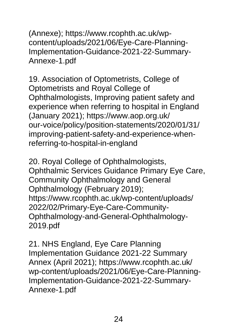(Annexe); [https://www.rcophth.ac.uk/wp](https://www.rcophth.ac.uk/wp-%0bcontent/uploads/2021/06/Eye-Care-Planning-%0bImplementation-Guidance-2021-22-Summary-%0bAnnexe-1.pdf)[content/uploads/2021/06/Eye-Care-Planning-](https://www.rcophth.ac.uk/wp-%0bcontent/uploads/2021/06/Eye-Care-Planning-%0bImplementation-Guidance-2021-22-Summary-%0bAnnexe-1.pdf)[Implementation-Guidance-2021-22-Summary-](https://www.rcophth.ac.uk/wp-%0bcontent/uploads/2021/06/Eye-Care-Planning-%0bImplementation-Guidance-2021-22-Summary-%0bAnnexe-1.pdf)[Annexe-1.pdf](https://www.rcophth.ac.uk/wp-%0bcontent/uploads/2021/06/Eye-Care-Planning-%0bImplementation-Guidance-2021-22-Summary-%0bAnnexe-1.pdf)

19. Association of Optometrists, College of Optometrists and Royal College of Ophthalmologists, Improving patient safety and experience when referring to hospital in England (January 2021); [https://www.aop.org.uk/](https://www.aop.org.uk/%0bour-voice/policy/position-statements/2020/01/31/%0bimproving-patient-safety-and-experience-when-%0breferring-to-hospital-in-england) [our-voice/policy/position-statements/2020/01/31/](https://www.aop.org.uk/%0bour-voice/policy/position-statements/2020/01/31/%0bimproving-patient-safety-and-experience-when-%0breferring-to-hospital-in-england) [improving-patient-safety-and-experience-when](https://www.aop.org.uk/%0bour-voice/policy/position-statements/2020/01/31/%0bimproving-patient-safety-and-experience-when-%0breferring-to-hospital-in-england)[referring-to-hospital-in-england](https://www.aop.org.uk/%0bour-voice/policy/position-statements/2020/01/31/%0bimproving-patient-safety-and-experience-when-%0breferring-to-hospital-in-england)

20. Royal College of Ophthalmologists, Ophthalmic Services Guidance Primary Eye Care, Community Ophthalmology and General Ophthalmology (February 2019); [https://www.rcophth.ac.uk/wp-content/uploads/](https://www.rcophth.ac.uk/wp-content/uploads/%0b2022/02/Primary-Eye-Care-Community-%0bOphthalmology-and-General-Ophthalmology-%0b2019.pdf) [2022/02/Primary-Eye-Care-Community-](https://www.rcophth.ac.uk/wp-content/uploads/%0b2022/02/Primary-Eye-Care-Community-%0bOphthalmology-and-General-Ophthalmology-%0b2019.pdf)[Ophthalmology-and-General-Ophthalmology-](https://www.rcophth.ac.uk/wp-content/uploads/%0b2022/02/Primary-Eye-Care-Community-%0bOphthalmology-and-General-Ophthalmology-%0b2019.pdf)[2019.pdf](https://www.rcophth.ac.uk/wp-content/uploads/%0b2022/02/Primary-Eye-Care-Community-%0bOphthalmology-and-General-Ophthalmology-%0b2019.pdf)

21. NHS England, Eye Care Planning Implementation Guidance 2021-22 Summary Annex (April 2021); [https://www.rcophth.ac.uk/](https://www.rcophth.ac.uk/%0bwp-content/uploads/2021/06/Eye-Care-Planning-%0bImplementation-Guidance-2021-22-Summary-%0bAnnexe-1.pdf) [wp-content/uploads/2021/06/Eye-Care-Planning-](https://www.rcophth.ac.uk/%0bwp-content/uploads/2021/06/Eye-Care-Planning-%0bImplementation-Guidance-2021-22-Summary-%0bAnnexe-1.pdf)[Implementation-Guidance-2021-22-Summary-](https://www.rcophth.ac.uk/%0bwp-content/uploads/2021/06/Eye-Care-Planning-%0bImplementation-Guidance-2021-22-Summary-%0bAnnexe-1.pdf)[Annexe-1.pdf](https://www.rcophth.ac.uk/%0bwp-content/uploads/2021/06/Eye-Care-Planning-%0bImplementation-Guidance-2021-22-Summary-%0bAnnexe-1.pdf)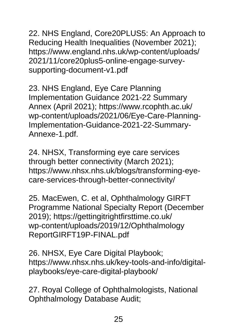22. NHS England, Core20PLUS5: An Approach to Reducing Health Inequalities (November 2021); [https://www.england.nhs.uk/wp-content/uploads/](https://www.england.nhs.uk/wp-content/uploads/%0b2021/11/core20plus5-online-engage-survey-%0bsupporting-document-v1.pdf) [2021/11/core20plus5-online-engage-survey](https://www.england.nhs.uk/wp-content/uploads/%0b2021/11/core20plus5-online-engage-survey-%0bsupporting-document-v1.pdf)[supporting-document-v1.pdf](https://www.england.nhs.uk/wp-content/uploads/%0b2021/11/core20plus5-online-engage-survey-%0bsupporting-document-v1.pdf)

23. NHS England, Eye Care Planning Implementation Guidance 2021-22 Summary Annex (April 2021); [https://www.rcophth.ac.uk/](https://www.rcophth.ac.uk/%0bwp-content/uploads/2021/06/Eye-Care-Planning-%0bImplementation-Guidance-2021-22-Summary-%0bAnnexe-1.pdf) [wp-content/uploads/2021/06/Eye-Care-Planning-](https://www.rcophth.ac.uk/%0bwp-content/uploads/2021/06/Eye-Care-Planning-%0bImplementation-Guidance-2021-22-Summary-%0bAnnexe-1.pdf)[Implementation-Guidance-2021-22-Summary-](https://www.rcophth.ac.uk/%0bwp-content/uploads/2021/06/Eye-Care-Planning-%0bImplementation-Guidance-2021-22-Summary-%0bAnnexe-1.pdf)[Annexe-1.pdf.](https://www.rcophth.ac.uk/%0bwp-content/uploads/2021/06/Eye-Care-Planning-%0bImplementation-Guidance-2021-22-Summary-%0bAnnexe-1.pdf)

24. NHSX, Transforming eye care services through better connectivity (March 2021); [https://www.nhsx.nhs.uk/blogs/transforming-eye](https://www.nhsx.nhs.uk/blogs/transforming-eye-%0bcare-services-through-better-connectivity/)[care-services-through-better-connectivity/](https://www.nhsx.nhs.uk/blogs/transforming-eye-%0bcare-services-through-better-connectivity/)

25. MacEwen, C. et al, Ophthalmology GIRFT Programme National Specialty Report (December 2019); [https://gettingitrightfirsttime.co.uk/](https://gettingitrightfirsttime.co.uk/%0bwp-content/uploads/2019/12/Ophthalmology%0bReportGIRFT19P-FINAL.pdf) [wp-content/uploads/2019/12/Ophthalmology](https://gettingitrightfirsttime.co.uk/%0bwp-content/uploads/2019/12/Ophthalmology%0bReportGIRFT19P-FINAL.pdf) [ReportGIRFT19P-FINAL.pdf](https://gettingitrightfirsttime.co.uk/%0bwp-content/uploads/2019/12/Ophthalmology%0bReportGIRFT19P-FINAL.pdf)

26. NHSX, Eye Care Digital Playbook; [https://www.nhsx.nhs.uk/key-tools-and-info/digital](http://https/www.nhsx.nhs.uk/key-tools-and-info/digital-playbooks/eye-care-digital-playbook/)[playbooks/eye-care-digital-playbook/](http://https/www.nhsx.nhs.uk/key-tools-and-info/digital-playbooks/eye-care-digital-playbook/)

27. Royal College of Ophthalmologists, National Ophthalmology Database Audit;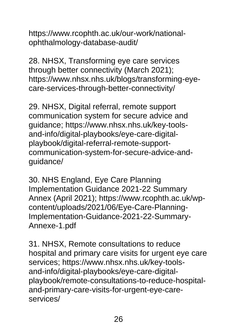[https://www.rcophth.ac.uk/our-work/national](https://www.rcophth.ac.uk/our-work/national-%0bophthalmology-database-audit/)[ophthalmology-database-audit/](https://www.rcophth.ac.uk/our-work/national-%0bophthalmology-database-audit/)

28. NHSX, Transforming eye care services through better connectivity (March 2021); [https://www.nhsx.nhs.uk/blogs/transforming-eye](https://www.nhsx.nhs.uk/blogs/transforming-eye-%0bcare-services-through-better-connectivity/)[care-services-through-better-connectivity/](https://www.nhsx.nhs.uk/blogs/transforming-eye-%0bcare-services-through-better-connectivity/)

29. NHSX, Digital referral, remote support communication system for secure advice and guidance; [https://www.nhsx.nhs.uk/key-tools](https://www.nhsx.nhs.uk/key-tools-%0band-info/digital-playbooks/eye-care-digital-%0bplaybook/digital-referral-remote-support-%0bcommunication-system-for-secure-advice-and-%0bguidance/)[and-info/digital-playbooks/eye-care-digital](https://www.nhsx.nhs.uk/key-tools-%0band-info/digital-playbooks/eye-care-digital-%0bplaybook/digital-referral-remote-support-%0bcommunication-system-for-secure-advice-and-%0bguidance/)[playbook/digital-referral-remote-support](https://www.nhsx.nhs.uk/key-tools-%0band-info/digital-playbooks/eye-care-digital-%0bplaybook/digital-referral-remote-support-%0bcommunication-system-for-secure-advice-and-%0bguidance/)[communication-system-for-secure-advice-and](https://www.nhsx.nhs.uk/key-tools-%0band-info/digital-playbooks/eye-care-digital-%0bplaybook/digital-referral-remote-support-%0bcommunication-system-for-secure-advice-and-%0bguidance/)[guidance/](https://www.nhsx.nhs.uk/key-tools-%0band-info/digital-playbooks/eye-care-digital-%0bplaybook/digital-referral-remote-support-%0bcommunication-system-for-secure-advice-and-%0bguidance/)

30. NHS England, Eye Care Planning Implementation Guidance 2021-22 Summary Annex (April 2021); [https://www.rcophth.ac.uk/wp](https://www.rcophth.ac.uk/wp-%0bcontent/uploads/2021/06/Eye-Care-Planning-%0bImplementation-Guidance-2021-22-Summary-%0bAnnexe-1.pdf)[content/uploads/2021/06/Eye-Care-Planning-](https://www.rcophth.ac.uk/wp-%0bcontent/uploads/2021/06/Eye-Care-Planning-%0bImplementation-Guidance-2021-22-Summary-%0bAnnexe-1.pdf)[Implementation-Guidance-2021-22-Summary-](https://www.rcophth.ac.uk/wp-%0bcontent/uploads/2021/06/Eye-Care-Planning-%0bImplementation-Guidance-2021-22-Summary-%0bAnnexe-1.pdf)[Annexe-1.pdf](https://www.rcophth.ac.uk/wp-%0bcontent/uploads/2021/06/Eye-Care-Planning-%0bImplementation-Guidance-2021-22-Summary-%0bAnnexe-1.pdf)

31. NHSX, Remote consultations to reduce hospital and primary care visits for urgent eye care services; [https://www.nhsx.nhs.uk/key-tools](https://www.nhsx.nhs.uk/key-tools-%0band-info/digital-playbooks/eye-care-digital-%0bplaybook/remote-consultations-to-reduce-hospital-%0band-primary-care-visits-for-urgent-eye-care-%0bservices/)[and-info/digital-playbooks/eye-care-digital](https://www.nhsx.nhs.uk/key-tools-%0band-info/digital-playbooks/eye-care-digital-%0bplaybook/remote-consultations-to-reduce-hospital-%0band-primary-care-visits-for-urgent-eye-care-%0bservices/)[playbook/remote-consultations-to-reduce-hospital](https://www.nhsx.nhs.uk/key-tools-%0band-info/digital-playbooks/eye-care-digital-%0bplaybook/remote-consultations-to-reduce-hospital-%0band-primary-care-visits-for-urgent-eye-care-%0bservices/)[and-primary-care-visits-for-urgent-eye-care](https://www.nhsx.nhs.uk/key-tools-%0band-info/digital-playbooks/eye-care-digital-%0bplaybook/remote-consultations-to-reduce-hospital-%0band-primary-care-visits-for-urgent-eye-care-%0bservices/)[services/](https://www.nhsx.nhs.uk/key-tools-%0band-info/digital-playbooks/eye-care-digital-%0bplaybook/remote-consultations-to-reduce-hospital-%0band-primary-care-visits-for-urgent-eye-care-%0bservices/)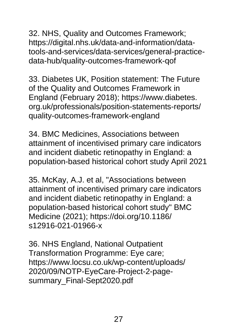32. NHS, Quality and Outcomes Framework; [https://digital.nhs.uk/data-and-information/data](https://digital.nhs.uk/data-and-information/data-%0btools-and-services/data-services/general-practice-%0bdata-hub/quality-outcomes-framework-qof)[tools-and-services/data-services/general-practice](https://digital.nhs.uk/data-and-information/data-%0btools-and-services/data-services/general-practice-%0bdata-hub/quality-outcomes-framework-qof)[data-hub/quality-outcomes-framework-qof](https://digital.nhs.uk/data-and-information/data-%0btools-and-services/data-services/general-practice-%0bdata-hub/quality-outcomes-framework-qof)

33. Diabetes UK, Position statement: The Future of the Quality and Outcomes Framework in England (February 2018); https://www.diabetes. org.uk/professionals/position-statements-reports/ quality-outcomes-framework-england

34. BMC Medicines, Associations between attainment of incentivised primary care indicators and incident diabetic retinopathy in England: a population-based historical cohort study April 2021

35. McKay, A.J. et al, "Associations between attainment of incentivised primary care indicators and incident diabetic retinopathy in England: a population-based historical cohort study" BMC Medicine (2021); [https://doi.org/10.1186/](https://doi.org/10.1186/%0bs12916-021-01966-x) [s12916-021-01966-x](https://doi.org/10.1186/%0bs12916-021-01966-x)

36. NHS England, National Outpatient Transformation Programme: Eye care; [https://www.locsu.co.uk/wp-content/uploads/](https://www.locsu.co.uk/wp-content/uploads/%0b2020/09/NOTP-EyeCare-Project-2-page-%0bsummary_Final-Sept2020.pdf) [2020/09/NOTP-EyeCare-Project-2-page](https://www.locsu.co.uk/wp-content/uploads/%0b2020/09/NOTP-EyeCare-Project-2-page-%0bsummary_Final-Sept2020.pdf)summary Final-Sept2020.pdf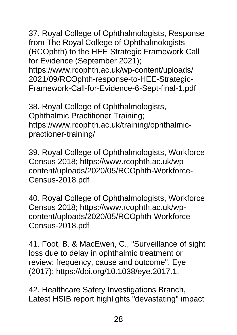37. Royal College of Ophthalmologists, Response from The Royal College of Ophthalmologists (RCOphth) to the HEE Strategic Framework Call for Evidence (September 2021); [https://www.rcophth.ac.uk/wp-content/uploads/](https://www.rcophth.ac.uk/wp-content/uploads/%0b2021/09/RCOphth-response-to-HEE-Strategic-%0bFramework-Call-for-Evidence-6-Sept-final-1.pdf) [2021/09/RCOphth-response-to-HEE-Strategic-](https://www.rcophth.ac.uk/wp-content/uploads/%0b2021/09/RCOphth-response-to-HEE-Strategic-%0bFramework-Call-for-Evidence-6-Sept-final-1.pdf)[Framework-Call-for-Evidence-6-Sept-final-1.pdf](https://www.rcophth.ac.uk/wp-content/uploads/%0b2021/09/RCOphth-response-to-HEE-Strategic-%0bFramework-Call-for-Evidence-6-Sept-final-1.pdf)

38. Royal College of Ophthalmologists, Ophthalmic Practitioner Training; [https://www.rcophth.ac.uk/training/ophthalmic](https://www.rcophth.ac.uk/training/ophthalmic-%0bpractioner-training/)[practioner-training/](https://www.rcophth.ac.uk/training/ophthalmic-%0bpractioner-training/)

39. Royal College of Ophthalmologists, Workforce Census 2018; [https://www.rcophth.ac.uk/wp](https://www.rcophth.ac.uk/wp-%0bcontent/uploads/2020/05/RCOphth-Workforce-%0bCensus-2018.pdf)[content/uploads/2020/05/RCOphth-Workforce-](https://www.rcophth.ac.uk/wp-%0bcontent/uploads/2020/05/RCOphth-Workforce-%0bCensus-2018.pdf)[Census-2018.pdf](https://www.rcophth.ac.uk/wp-%0bcontent/uploads/2020/05/RCOphth-Workforce-%0bCensus-2018.pdf)

40. Royal College of Ophthalmologists, Workforce Census 2018; [https://www.rcophth.ac.uk/wp](https://www.rcophth.ac.uk/wp-%0bcontent/uploads/2020/05/RCOphth-Workforce-%0bCensus-2018.pdf)[content/uploads/2020/05/RCOphth-Workforce-](https://www.rcophth.ac.uk/wp-%0bcontent/uploads/2020/05/RCOphth-Workforce-%0bCensus-2018.pdf)[Census-2018.pdf](https://www.rcophth.ac.uk/wp-%0bcontent/uploads/2020/05/RCOphth-Workforce-%0bCensus-2018.pdf)

41. Foot, B. & MacEwen, C., "Surveillance of sight loss due to delay in ophthalmic treatment or review: frequency, cause and outcome", Eye (2017); [https://doi.org/10.1038/eye.2017.1.](http://https/doi.org/10.1038/eye.2017.1)

42. Healthcare Safety Investigations Branch, Latest HSIB report highlights "devastating" impact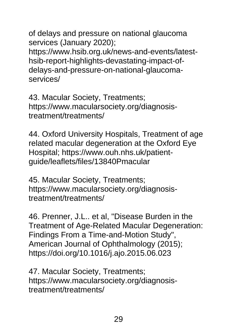of delays and pressure on national glaucoma services (January 2020);

[https://www.hsib.org.uk/news-and-events/latest](https://www.hsib.org.uk/news-and-events/latest-%0bhsib-report-highlights-devastating-impact-of-%0bdelays-and-pressure-on-national-glaucoma-%0bservices/)[hsib-report-highlights-devastating-impact-of](https://www.hsib.org.uk/news-and-events/latest-%0bhsib-report-highlights-devastating-impact-of-%0bdelays-and-pressure-on-national-glaucoma-%0bservices/)[delays-and-pressure-on-national-glaucoma](https://www.hsib.org.uk/news-and-events/latest-%0bhsib-report-highlights-devastating-impact-of-%0bdelays-and-pressure-on-national-glaucoma-%0bservices/)[services/](https://www.hsib.org.uk/news-and-events/latest-%0bhsib-report-highlights-devastating-impact-of-%0bdelays-and-pressure-on-national-glaucoma-%0bservices/)

43. Macular Society, Treatments; [https://www.macularsociety.org/diagnosis](https://www.macularsociety.org/diagnosis-%0btreatment/treatments/)[treatment/treatments/](https://www.macularsociety.org/diagnosis-%0btreatment/treatments/)

44. Oxford University Hospitals, Treatment of age related macular degeneration at the Oxford Eye Hospital; [https://www.ouh.nhs.uk/patient](https://www.ouh.nhs.uk/patient-%0bguide/leaflets/files/13840Pmacular)[guide/leaflets/files/13840Pmacular](https://www.ouh.nhs.uk/patient-%0bguide/leaflets/files/13840Pmacular)

45. Macular Society, Treatments; [https://www.macularsociety.org/diagnosis](https://www.macularsociety.org/diagnosis-%0btreatment/treatments/)[treatment/treatments/](https://www.macularsociety.org/diagnosis-%0btreatment/treatments/)

46. Prenner, J.L.. et al, "Disease Burden in the Treatment of Age-Related Macular Degeneration: Findings From a Time-and-Motion Study", American Journal of Ophthalmology (2015); [https://doi.org/10.1016/j.ajo.2015.06.023](http://https/doi.org/10.1016/j.ajo.2015.06.023)

47. Macular Society, Treatments; [https://www.macularsociety.org/diagnosis](https://www.macularsociety.org/diagnosis-%0btreatment/treatments/)[treatment/treatments/](https://www.macularsociety.org/diagnosis-%0btreatment/treatments/)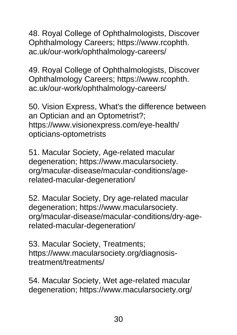48. Royal College of Ophthalmologists, Discover Ophthalmology Careers; https://www.rcophth. ac.uk/our-work/ophthalmology-careers/

49. Royal College of Ophthalmologists, Discover Ophthalmology Careers; https://www.rcophth. ac.uk/our-work/ophthalmology-careers/

50. Vision Express, What's the difference between an Optician and an Optometrist?; [https://www.visionexpress.com/eye-health/](https://www.visionexpress.com/eye-health/%0bopticians-optometrists) [opticians-optometrists](https://www.visionexpress.com/eye-health/%0bopticians-optometrists)

51. Macular Society, Age-related macular degeneration; https://www.macularsociety. org/macular-disease/macular-conditions/agerelated-macular-degeneration/

52. Macular Society, Dry age-related macular degeneration; https://www.macularsociety. org/macular-disease/macular-conditions/dry-agerelated-macular-degeneration/

53. Macular Society, Treatments; [https://www.macularsociety.org/diagnosis](https://www.macularsociety.org/diagnosis-%0btreatment/treatments/)[treatment/treatments/](https://www.macularsociety.org/diagnosis-%0btreatment/treatments/)

54. Macular Society, Wet age-related macular degeneration; [https://www.macularsociety.org/](https://www.macularsociety.org/%0bmacular-disease/macular-conditions/wet-age-%0brelated-macular-degeneration/)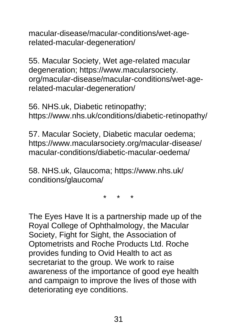[macular-disease/macular-conditions/wet-age](https://www.macularsociety.org/%0bmacular-disease/macular-conditions/wet-age-%0brelated-macular-degeneration/)[related-macular-degeneration/](https://www.macularsociety.org/%0bmacular-disease/macular-conditions/wet-age-%0brelated-macular-degeneration/)

55. Macular Society, Wet age-related macular degeneration; https://www.macularsociety. org/macular-disease/macular-conditions/wet-agerelated-macular-degeneration/

56. [NHS.uk,](http://nhs.uk/) Diabetic retinopathy; [https://www.nhs.uk/conditions/diabetic-retinopathy/](http://https/www.nhs.uk/conditions/diabetic-retinopathy/)

57. Macular Society, Diabetic macular oedema; [https://www.macularsociety.org/macular-disease/](https://www.macularsociety.org/macular-disease/%0bmacular-conditions/diabetic-macular-oedema/) [macular-conditions/diabetic-macular-oedema/](https://www.macularsociety.org/macular-disease/%0bmacular-conditions/diabetic-macular-oedema/)

58. [NHS.uk,](http://nhs.uk/) Glaucoma; [https://www.nhs.uk/](https://www.nhs.uk/%0bconditions/glaucoma/) [conditions/glaucoma/](https://www.nhs.uk/%0bconditions/glaucoma/)

\* \* \*

The Eyes Have It is a partnership made up of the Royal College of Ophthalmology, the Macular Society, Fight for Sight, the Association of Optometrists and Roche Products Ltd. Roche provides funding to Ovid Health to act as secretariat to the group. We work to raise awareness of the importance of good eye health and campaign to improve the lives of those with deteriorating eye conditions.